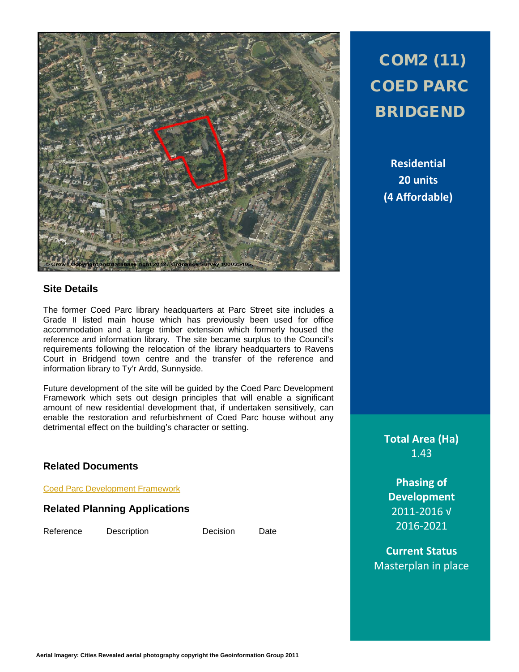

### **Site Details**

The former Coed Parc library headquarters at Parc Street site includes a Grade II listed main house which has previously been used for office accommodation and a large timber extension which formerly housed the reference and information library. The site became surplus to the Council's requirements following the relocation of the library headquarters to Ravens Court in Bridgend town centre and the transfer of the reference and information library to Ty'r Ardd, Sunnyside.

Future development of the site will be guided by the Coed Parc Development Framework which sets out design principles that will enable a significant amount of new residential development that, if undertaken sensitively, can enable the restoration and refurbishment of Coed Parc house without any detrimental effect on the building's character or setting.

### **Related Documents**

[Coed Parc Development Framework](http://www.bridgend.gov.uk/web/groups/public/documents/report/088195.pdf)

### **Related Planning Applications**

Reference Description Decision Date

# COM2 (11) COED PARC BRIDGEND

**Residential 20 units (4 Affordable)**

**Total Area (Ha)** 1.43

**Phasing of Development** 2011-2016 √ 2016-2021

**Current Status** Masterplan in place